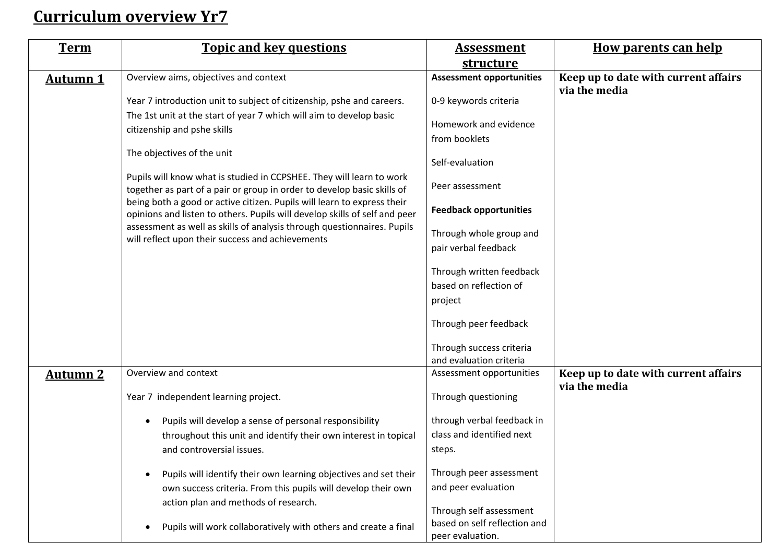## **Curriculum overview Yr7**

| <b>Term</b>     | <b>Topic and key questions</b>                                                                                                                        | <u>Assessment</u>               | <b>How parents can help</b>                           |
|-----------------|-------------------------------------------------------------------------------------------------------------------------------------------------------|---------------------------------|-------------------------------------------------------|
|                 |                                                                                                                                                       | structure                       |                                                       |
| <b>Autumn 1</b> | Overview aims, objectives and context                                                                                                                 | <b>Assessment opportunities</b> | Keep up to date with current affairs<br>via the media |
|                 | Year 7 introduction unit to subject of citizenship, pshe and careers.                                                                                 | 0-9 keywords criteria           |                                                       |
|                 | The 1st unit at the start of year 7 which will aim to develop basic                                                                                   | Homework and evidence           |                                                       |
|                 | citizenship and pshe skills                                                                                                                           | from booklets                   |                                                       |
|                 | The objectives of the unit                                                                                                                            | Self-evaluation                 |                                                       |
|                 | Pupils will know what is studied in CCPSHEE. They will learn to work<br>together as part of a pair or group in order to develop basic skills of       | Peer assessment                 |                                                       |
|                 | being both a good or active citizen. Pupils will learn to express their<br>opinions and listen to others. Pupils will develop skills of self and peer | <b>Feedback opportunities</b>   |                                                       |
|                 | assessment as well as skills of analysis through questionnaires. Pupils<br>will reflect upon their success and achievements                           | Through whole group and         |                                                       |
|                 |                                                                                                                                                       | pair verbal feedback            |                                                       |
|                 |                                                                                                                                                       | Through written feedback        |                                                       |
|                 |                                                                                                                                                       | based on reflection of          |                                                       |
|                 |                                                                                                                                                       | project                         |                                                       |
|                 |                                                                                                                                                       | Through peer feedback           |                                                       |
|                 |                                                                                                                                                       | Through success criteria        |                                                       |
|                 |                                                                                                                                                       | and evaluation criteria         |                                                       |
| <b>Autumn 2</b> | Overview and context                                                                                                                                  | Assessment opportunities        | Keep up to date with current affairs<br>via the media |
|                 | Year 7 independent learning project.                                                                                                                  | Through questioning             |                                                       |
|                 | Pupils will develop a sense of personal responsibility                                                                                                | through verbal feedback in      |                                                       |
|                 | throughout this unit and identify their own interest in topical                                                                                       | class and identified next       |                                                       |
|                 | and controversial issues.                                                                                                                             | steps.                          |                                                       |
|                 | Pupils will identify their own learning objectives and set their                                                                                      | Through peer assessment         |                                                       |
|                 | own success criteria. From this pupils will develop their own                                                                                         | and peer evaluation             |                                                       |
|                 | action plan and methods of research.                                                                                                                  | Through self assessment         |                                                       |
|                 |                                                                                                                                                       | based on self reflection and    |                                                       |
|                 | Pupils will work collaboratively with others and create a final                                                                                       | peer evaluation.                |                                                       |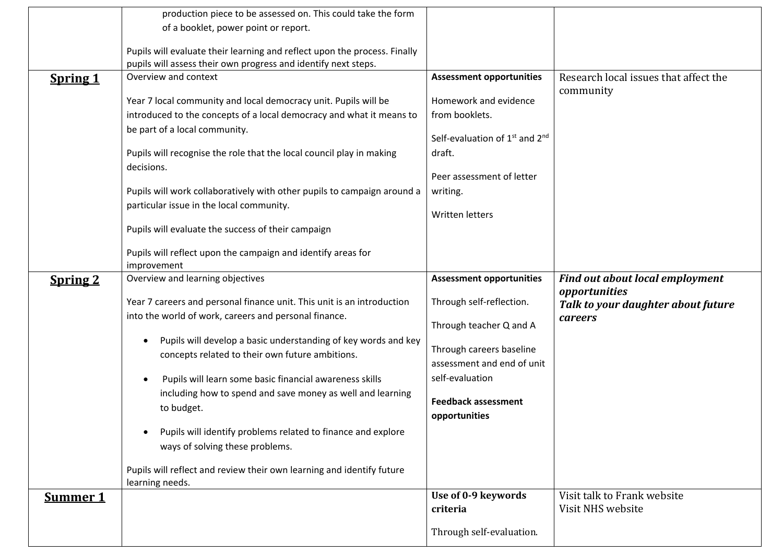|                 | production piece to be assessed on. This could take the form              |                                    |                                        |
|-----------------|---------------------------------------------------------------------------|------------------------------------|----------------------------------------|
|                 | of a booklet, power point or report.                                      |                                    |                                        |
|                 |                                                                           |                                    |                                        |
|                 | Pupils will evaluate their learning and reflect upon the process. Finally |                                    |                                        |
|                 | pupils will assess their own progress and identify next steps.            |                                    |                                        |
| <b>Spring 1</b> | Overview and context                                                      | <b>Assessment opportunities</b>    | Research local issues that affect the  |
|                 | Year 7 local community and local democracy unit. Pupils will be           | Homework and evidence              | community                              |
|                 | introduced to the concepts of a local democracy and what it means to      | from booklets.                     |                                        |
|                 |                                                                           |                                    |                                        |
|                 | be part of a local community.                                             | Self-evaluation of $1st$ and $2nd$ |                                        |
|                 | Pupils will recognise the role that the local council play in making      | draft.                             |                                        |
|                 | decisions.                                                                |                                    |                                        |
|                 |                                                                           | Peer assessment of letter          |                                        |
|                 | Pupils will work collaboratively with other pupils to campaign around a   | writing.                           |                                        |
|                 | particular issue in the local community.                                  |                                    |                                        |
|                 |                                                                           | Written letters                    |                                        |
|                 | Pupils will evaluate the success of their campaign                        |                                    |                                        |
|                 |                                                                           |                                    |                                        |
|                 | Pupils will reflect upon the campaign and identify areas for              |                                    |                                        |
|                 | improvement                                                               |                                    |                                        |
|                 |                                                                           |                                    |                                        |
| <b>Spring 2</b> | Overview and learning objectives                                          | <b>Assessment opportunities</b>    | <b>Find out about local employment</b> |
|                 |                                                                           |                                    | opportunities                          |
|                 | Year 7 careers and personal finance unit. This unit is an introduction    | Through self-reflection.           | Talk to your daughter about future     |
|                 | into the world of work, careers and personal finance.                     |                                    | careers                                |
|                 |                                                                           | Through teacher Q and A            |                                        |
|                 | Pupils will develop a basic understanding of key words and key            | Through careers baseline           |                                        |
|                 | concepts related to their own future ambitions.                           | assessment and end of unit         |                                        |
|                 | Pupils will learn some basic financial awareness skills                   | self-evaluation                    |                                        |
|                 | including how to spend and save money as well and learning                |                                    |                                        |
|                 |                                                                           | <b>Feedback assessment</b>         |                                        |
|                 | to budget.                                                                | opportunities                      |                                        |
|                 | Pupils will identify problems related to finance and explore              |                                    |                                        |
|                 | ways of solving these problems.                                           |                                    |                                        |
|                 |                                                                           |                                    |                                        |
|                 | Pupils will reflect and review their own learning and identify future     |                                    |                                        |
|                 | learning needs.                                                           |                                    |                                        |
| Summer 1        |                                                                           | Use of 0-9 keywords                | Visit talk to Frank website            |
|                 |                                                                           | criteria                           | Visit NHS website                      |
|                 |                                                                           | Through self-evaluation.           |                                        |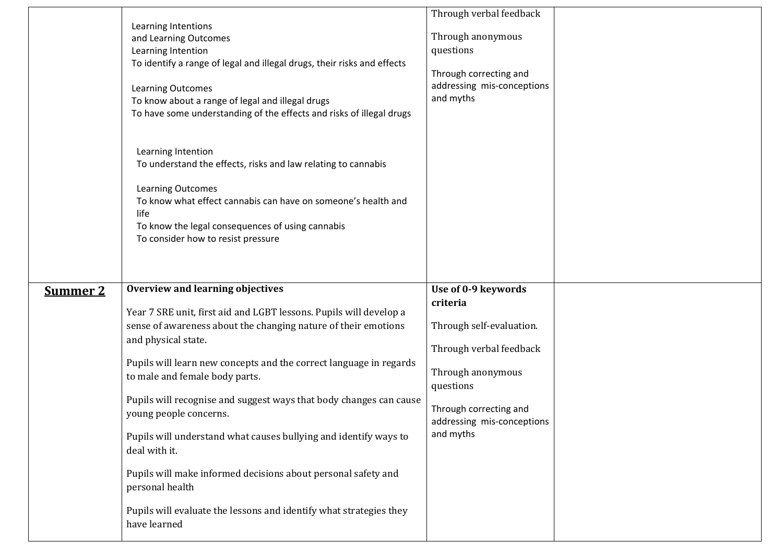|                 | Learning Intentions<br>and Learning Outcomes<br>Learning Intention<br>To identify a range of legal and illegal drugs, their risks and effects<br>Learning Outcomes<br>To know about a range of legal and illegal drugs<br>To have some understanding of the effects and risks of illegal drugs<br>Learning Intention<br>To understand the effects, risks and law relating to cannabis<br>Learning Outcomes<br>To know what effect cannabis can have on someone's health and<br>life<br>To know the legal consequences of using cannabis<br>To consider how to resist pressure                                                                                                 | Through verbal feedback<br>Through anonymous<br>questions<br>Through correcting and<br>addressing mis-conceptions<br>and myths                                                                |  |
|-----------------|-------------------------------------------------------------------------------------------------------------------------------------------------------------------------------------------------------------------------------------------------------------------------------------------------------------------------------------------------------------------------------------------------------------------------------------------------------------------------------------------------------------------------------------------------------------------------------------------------------------------------------------------------------------------------------|-----------------------------------------------------------------------------------------------------------------------------------------------------------------------------------------------|--|
| <b>Summer 2</b> | <b>Overview and learning objectives</b><br>Year 7 SRE unit, first aid and LGBT lessons. Pupils will develop a<br>sense of awareness about the changing nature of their emotions<br>and physical state.<br>Pupils will learn new concepts and the correct language in regards<br>to male and female body parts.<br>Pupils will recognise and suggest ways that body changes can cause<br>young people concerns.<br>Pupils will understand what causes bullying and identify ways to<br>deal with it.<br>Pupils will make informed decisions about personal safety and<br>personal health<br>Pupils will evaluate the lessons and identify what strategies they<br>have learned | Use of 0-9 keywords<br>criteria<br>Through self-evaluation.<br>Through verbal feedback<br>Through anonymous<br>questions<br>Through correcting and<br>addressing mis-conceptions<br>and myths |  |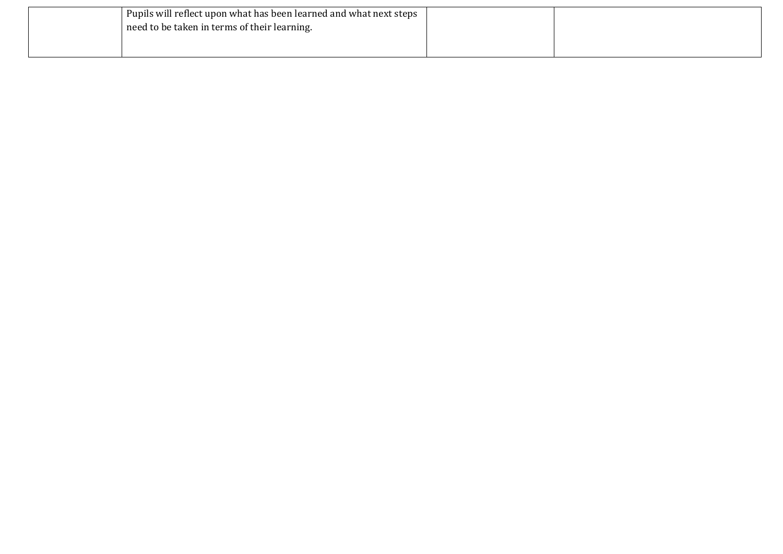| Pupils will reflect upon what has been learned and what next steps |  |
|--------------------------------------------------------------------|--|
| need to be taken in terms of their learning.                       |  |
|                                                                    |  |
|                                                                    |  |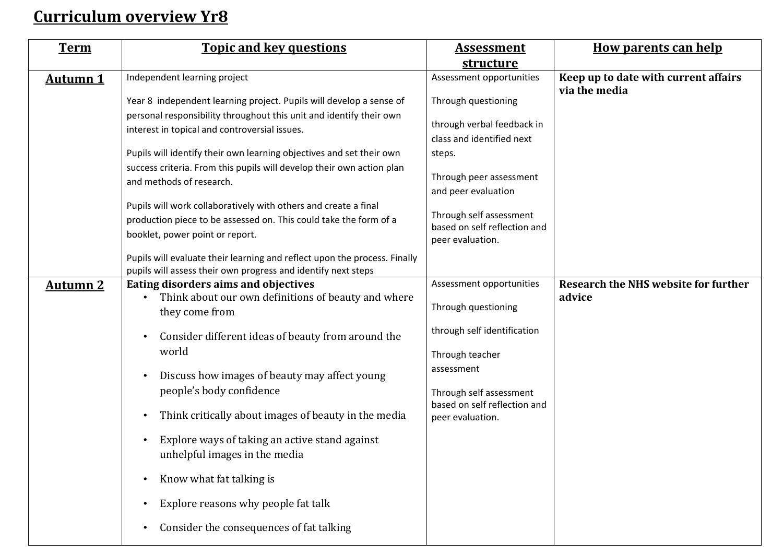## **Curriculum overview Yr8**

| <b>Term</b>     | <b>Topic and key questions</b>                                            | <u>Assessment</u>            | <b>How parents can help</b>                           |
|-----------------|---------------------------------------------------------------------------|------------------------------|-------------------------------------------------------|
|                 |                                                                           | structure                    |                                                       |
| <b>Autumn 1</b> | Independent learning project                                              | Assessment opportunities     | Keep up to date with current affairs<br>via the media |
|                 | Year 8 independent learning project. Pupils will develop a sense of       | Through questioning          |                                                       |
|                 | personal responsibility throughout this unit and identify their own       |                              |                                                       |
|                 | interest in topical and controversial issues.                             | through verbal feedback in   |                                                       |
|                 |                                                                           | class and identified next    |                                                       |
|                 | Pupils will identify their own learning objectives and set their own      | steps.                       |                                                       |
|                 | success criteria. From this pupils will develop their own action plan     | Through peer assessment      |                                                       |
|                 | and methods of research.                                                  | and peer evaluation          |                                                       |
|                 | Pupils will work collaboratively with others and create a final           |                              |                                                       |
|                 |                                                                           | Through self assessment      |                                                       |
|                 | production piece to be assessed on. This could take the form of a         | based on self reflection and |                                                       |
|                 | booklet, power point or report.                                           | peer evaluation.             |                                                       |
|                 | Pupils will evaluate their learning and reflect upon the process. Finally |                              |                                                       |
|                 | pupils will assess their own progress and identify next steps             |                              |                                                       |
| <b>Autumn 2</b> | Eating disorders aims and objectives                                      | Assessment opportunities     | <b>Research the NHS website for further</b>           |
|                 | Think about our own definitions of beauty and where                       |                              | advice                                                |
|                 | they come from                                                            | Through questioning          |                                                       |
|                 |                                                                           | through self identification  |                                                       |
|                 | Consider different ideas of beauty from around the                        |                              |                                                       |
|                 | world                                                                     | Through teacher              |                                                       |
|                 | Discuss how images of beauty may affect young                             | assessment                   |                                                       |
|                 | people's body confidence                                                  | Through self assessment      |                                                       |
|                 |                                                                           | based on self reflection and |                                                       |
|                 | Think critically about images of beauty in the media                      | peer evaluation.             |                                                       |
|                 | Explore ways of taking an active stand against                            |                              |                                                       |
|                 | unhelpful images in the media                                             |                              |                                                       |
|                 |                                                                           |                              |                                                       |
|                 | Know what fat talking is<br>$\bullet$                                     |                              |                                                       |
|                 | Explore reasons why people fat talk                                       |                              |                                                       |
|                 | Consider the consequences of fat talking<br>$\bullet$                     |                              |                                                       |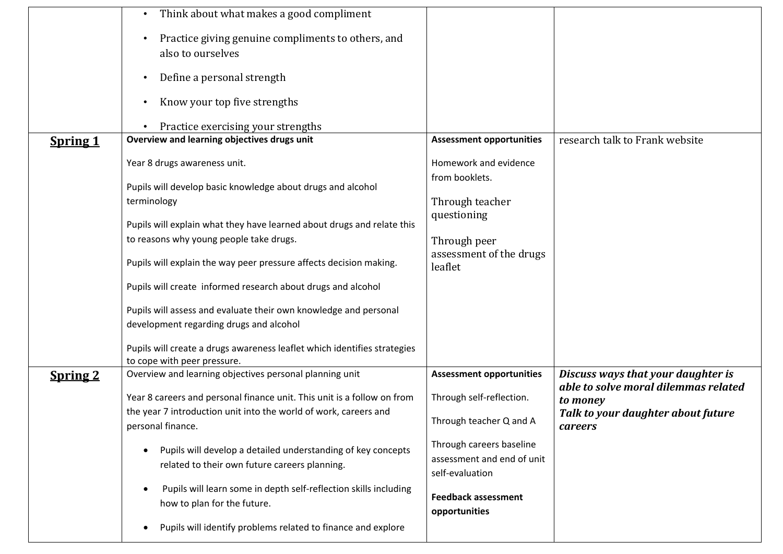|                 | Think about what makes a good compliment<br>$\bullet$                                                                      |                                                                           |                                                  |
|-----------------|----------------------------------------------------------------------------------------------------------------------------|---------------------------------------------------------------------------|--------------------------------------------------|
|                 | Practice giving genuine compliments to others, and<br>$\bullet$<br>also to ourselves                                       |                                                                           |                                                  |
|                 | Define a personal strength<br>$\bullet$                                                                                    |                                                                           |                                                  |
|                 | Know your top five strengths<br>$\bullet$                                                                                  |                                                                           |                                                  |
|                 | Practice exercising your strengths                                                                                         |                                                                           |                                                  |
| <b>Spring 1</b> | Overview and learning objectives drugs unit                                                                                | <b>Assessment opportunities</b>                                           | research talk to Frank website                   |
|                 | Year 8 drugs awareness unit.                                                                                               | Homework and evidence<br>from booklets.                                   |                                                  |
|                 | Pupils will develop basic knowledge about drugs and alcohol                                                                |                                                                           |                                                  |
|                 | terminology                                                                                                                | Through teacher<br>questioning                                            |                                                  |
|                 | Pupils will explain what they have learned about drugs and relate this                                                     |                                                                           |                                                  |
|                 | to reasons why young people take drugs.                                                                                    | Through peer                                                              |                                                  |
|                 | Pupils will explain the way peer pressure affects decision making.                                                         | assessment of the drugs<br>leaflet                                        |                                                  |
|                 | Pupils will create informed research about drugs and alcohol                                                               |                                                                           |                                                  |
|                 | Pupils will assess and evaluate their own knowledge and personal<br>development regarding drugs and alcohol                |                                                                           |                                                  |
|                 | Pupils will create a drugs awareness leaflet which identifies strategies<br>to cope with peer pressure.                    |                                                                           |                                                  |
| <b>Spring 2</b> | Overview and learning objectives personal planning unit                                                                    | <b>Assessment opportunities</b>                                           | Discuss ways that your daughter is               |
|                 | Year 8 careers and personal finance unit. This unit is a follow on from                                                    | Through self-reflection.                                                  | able to solve moral dilemmas related<br>to money |
|                 | the year 7 introduction unit into the world of work, careers and<br>personal finance.                                      | Through teacher Q and A                                                   | Talk to your daughter about future<br>careers    |
|                 | Pupils will develop a detailed understanding of key concepts<br>$\bullet$<br>related to their own future careers planning. | Through careers baseline<br>assessment and end of unit<br>self-evaluation |                                                  |
|                 | Pupils will learn some in depth self-reflection skills including<br>$\bullet$<br>how to plan for the future.               | <b>Feedback assessment</b><br>opportunities                               |                                                  |
|                 | Pupils will identify problems related to finance and explore<br>$\bullet$                                                  |                                                                           |                                                  |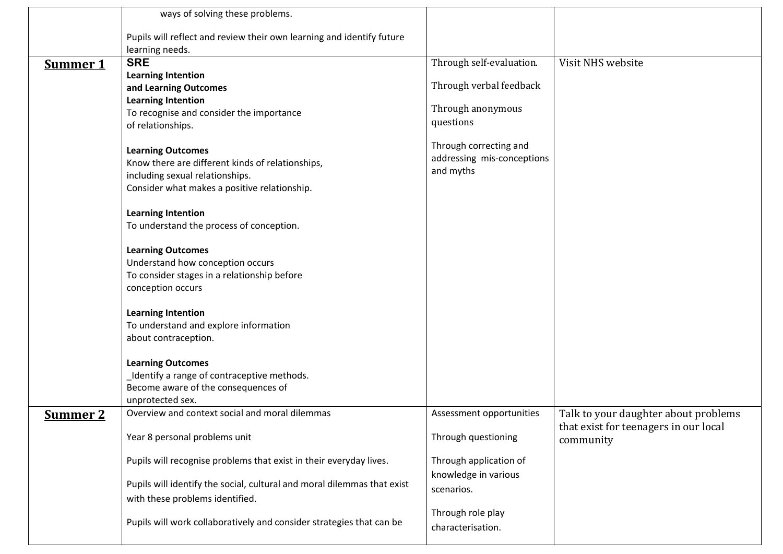|                 | ways of solving these problems.                                         |                            |                                                    |
|-----------------|-------------------------------------------------------------------------|----------------------------|----------------------------------------------------|
|                 | Pupils will reflect and review their own learning and identify future   |                            |                                                    |
|                 | learning needs.                                                         |                            |                                                    |
| <b>Summer 1</b> | <b>SRE</b>                                                              | Through self-evaluation.   | Visit NHS website                                  |
|                 | <b>Learning Intention</b>                                               |                            |                                                    |
|                 | and Learning Outcomes                                                   | Through verbal feedback    |                                                    |
|                 | <b>Learning Intention</b>                                               |                            |                                                    |
|                 | To recognise and consider the importance                                | Through anonymous          |                                                    |
|                 | of relationships.                                                       | questions                  |                                                    |
|                 | <b>Learning Outcomes</b>                                                | Through correcting and     |                                                    |
|                 | Know there are different kinds of relationships,                        | addressing mis-conceptions |                                                    |
|                 | including sexual relationships.                                         | and myths                  |                                                    |
|                 | Consider what makes a positive relationship.                            |                            |                                                    |
|                 | <b>Learning Intention</b>                                               |                            |                                                    |
|                 | To understand the process of conception.                                |                            |                                                    |
|                 | <b>Learning Outcomes</b>                                                |                            |                                                    |
|                 | Understand how conception occurs                                        |                            |                                                    |
|                 | To consider stages in a relationship before                             |                            |                                                    |
|                 | conception occurs                                                       |                            |                                                    |
|                 | <b>Learning Intention</b>                                               |                            |                                                    |
|                 | To understand and explore information                                   |                            |                                                    |
|                 | about contraception.                                                    |                            |                                                    |
|                 | <b>Learning Outcomes</b>                                                |                            |                                                    |
|                 | Identify a range of contraceptive methods.                              |                            |                                                    |
|                 | Become aware of the consequences of                                     |                            |                                                    |
|                 | unprotected sex.                                                        |                            |                                                    |
| <b>Summer 2</b> | Overview and context social and moral dilemmas                          | Assessment opportunities   | Talk to your daughter about problems               |
|                 | Year 8 personal problems unit                                           | Through questioning        | that exist for teenagers in our local<br>community |
|                 | Pupils will recognise problems that exist in their everyday lives.      | Through application of     |                                                    |
|                 |                                                                         | knowledge in various       |                                                    |
|                 | Pupils will identify the social, cultural and moral dilemmas that exist | scenarios.                 |                                                    |
|                 | with these problems identified.                                         |                            |                                                    |
|                 |                                                                         | Through role play          |                                                    |
|                 | Pupils will work collaboratively and consider strategies that can be    | characterisation.          |                                                    |
|                 |                                                                         |                            |                                                    |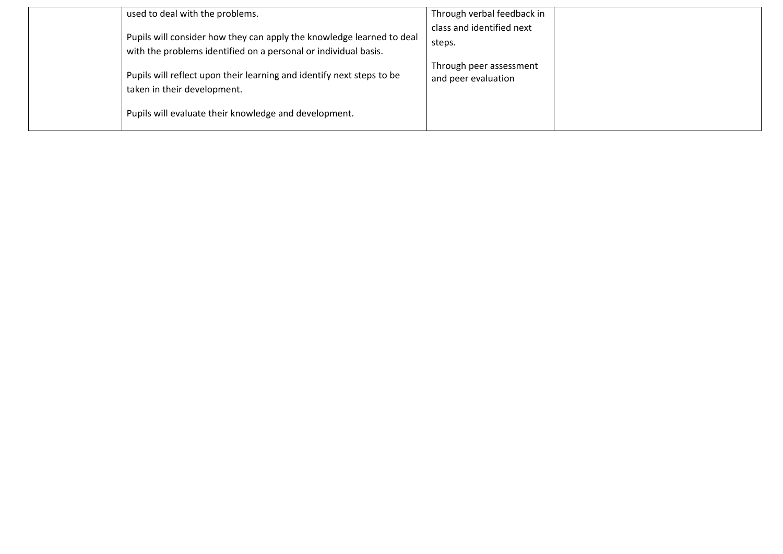| used to deal with the problems.                                                                                                                               | Through verbal feedback in                     |
|---------------------------------------------------------------------------------------------------------------------------------------------------------------|------------------------------------------------|
| Pupils will consider how they can apply the knowledge learned to deal<br>with the problems identified on a personal or individual basis.                      | class and identified next<br>steps.            |
| Pupils will reflect upon their learning and identify next steps to be<br>taken in their development.<br>Pupils will evaluate their knowledge and development. | Through peer assessment<br>and peer evaluation |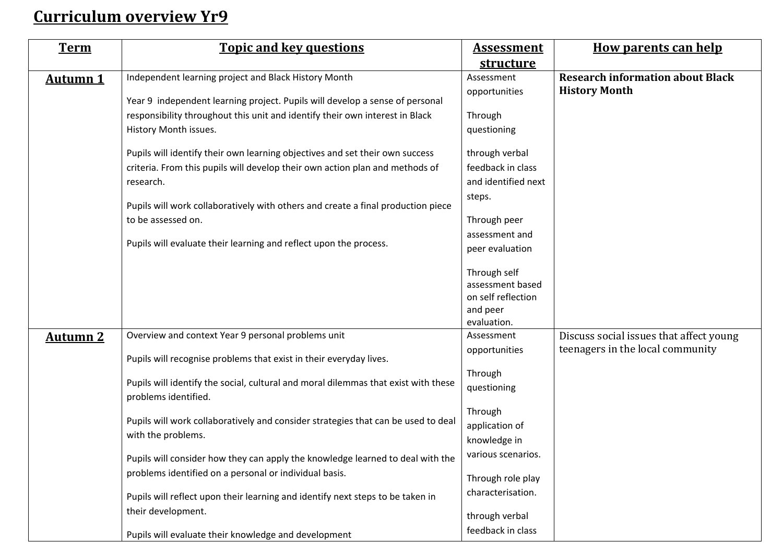## **Curriculum overview Yr9**

| <b>Term</b>     | <b>Topic and key questions</b>                                                                             | <b>Assessment</b>   | <b>How parents can help</b>             |
|-----------------|------------------------------------------------------------------------------------------------------------|---------------------|-----------------------------------------|
|                 |                                                                                                            | <b>structure</b>    |                                         |
| <b>Autumn 1</b> | Independent learning project and Black History Month                                                       | Assessment          | <b>Research information about Black</b> |
|                 | Year 9 independent learning project. Pupils will develop a sense of personal                               | opportunities       | <b>History Month</b>                    |
|                 | responsibility throughout this unit and identify their own interest in Black                               | Through             |                                         |
|                 | History Month issues.                                                                                      | questioning         |                                         |
|                 | Pupils will identify their own learning objectives and set their own success                               | through verbal      |                                         |
|                 | criteria. From this pupils will develop their own action plan and methods of                               | feedback in class   |                                         |
|                 | research.                                                                                                  | and identified next |                                         |
|                 | Pupils will work collaboratively with others and create a final production piece                           | steps.              |                                         |
|                 | to be assessed on.                                                                                         | Through peer        |                                         |
|                 |                                                                                                            | assessment and      |                                         |
|                 | Pupils will evaluate their learning and reflect upon the process.                                          | peer evaluation     |                                         |
|                 |                                                                                                            | Through self        |                                         |
|                 |                                                                                                            | assessment based    |                                         |
|                 |                                                                                                            | on self reflection  |                                         |
|                 |                                                                                                            | and peer            |                                         |
|                 |                                                                                                            | evaluation.         |                                         |
| <b>Autumn 2</b> | Overview and context Year 9 personal problems unit                                                         | Assessment          | Discuss social issues that affect young |
|                 | Pupils will recognise problems that exist in their everyday lives.                                         | opportunities       | teenagers in the local community        |
|                 |                                                                                                            | Through             |                                         |
|                 | Pupils will identify the social, cultural and moral dilemmas that exist with these<br>problems identified. | questioning         |                                         |
|                 |                                                                                                            | Through             |                                         |
|                 | Pupils will work collaboratively and consider strategies that can be used to deal                          | application of      |                                         |
|                 | with the problems.                                                                                         | knowledge in        |                                         |
|                 | Pupils will consider how they can apply the knowledge learned to deal with the                             | various scenarios.  |                                         |
|                 | problems identified on a personal or individual basis.                                                     | Through role play   |                                         |
|                 | Pupils will reflect upon their learning and identify next steps to be taken in                             | characterisation.   |                                         |
|                 | their development.                                                                                         | through verbal      |                                         |
|                 | Pupils will evaluate their knowledge and development                                                       | feedback in class   |                                         |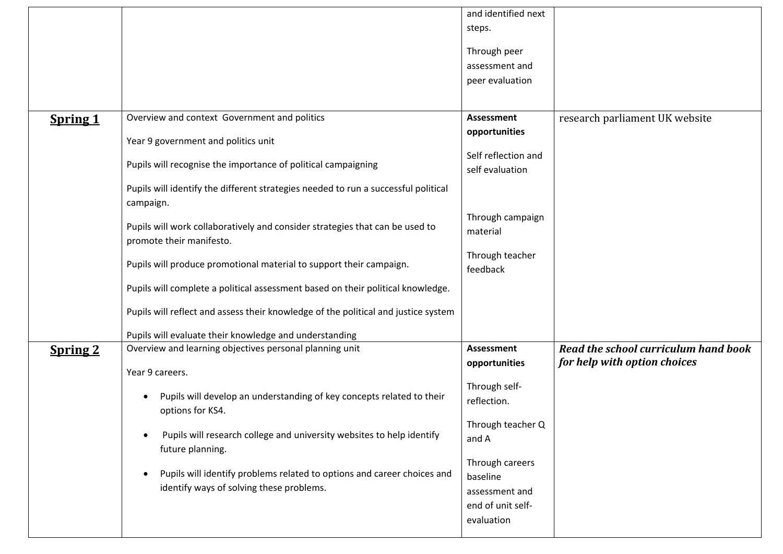|                 |                                                                                                                     | and identified next                                                              |                                      |
|-----------------|---------------------------------------------------------------------------------------------------------------------|----------------------------------------------------------------------------------|--------------------------------------|
|                 |                                                                                                                     | steps.                                                                           |                                      |
|                 |                                                                                                                     | Through peer                                                                     |                                      |
|                 |                                                                                                                     | assessment and                                                                   |                                      |
|                 |                                                                                                                     | peer evaluation                                                                  |                                      |
|                 |                                                                                                                     |                                                                                  |                                      |
| <b>Spring 1</b> | Overview and context Government and politics                                                                        | Assessment                                                                       | research parliament UK website       |
|                 | Year 9 government and politics unit                                                                                 | opportunities                                                                    |                                      |
|                 |                                                                                                                     | Self reflection and                                                              |                                      |
|                 | Pupils will recognise the importance of political campaigning                                                       | self evaluation                                                                  |                                      |
|                 | Pupils will identify the different strategies needed to run a successful political<br>campaign.                     |                                                                                  |                                      |
|                 | Pupils will work collaboratively and consider strategies that can be used to<br>promote their manifesto.            | Through campaign<br>material                                                     |                                      |
|                 | Pupils will produce promotional material to support their campaign.                                                 | Through teacher<br>feedback                                                      |                                      |
|                 | Pupils will complete a political assessment based on their political knowledge.                                     |                                                                                  |                                      |
|                 | Pupils will reflect and assess their knowledge of the political and justice system                                  |                                                                                  |                                      |
|                 | Pupils will evaluate their knowledge and understanding                                                              |                                                                                  |                                      |
| <b>Spring 2</b> | Overview and learning objectives personal planning unit                                                             | <b>Assessment</b>                                                                | Read the school curriculum hand book |
|                 | Year 9 careers.                                                                                                     | opportunities                                                                    | for help with option choices         |
|                 | Pupils will develop an understanding of key concepts related to their<br>options for KS4.                           | Through self-<br>reflection.                                                     |                                      |
|                 | Pupils will research college and university websites to help identify<br>future planning.                           | Through teacher Q<br>and A                                                       |                                      |
|                 | Pupils will identify problems related to options and career choices and<br>identify ways of solving these problems. | Through careers<br>baseline<br>assessment and<br>end of unit self-<br>evaluation |                                      |
|                 |                                                                                                                     |                                                                                  |                                      |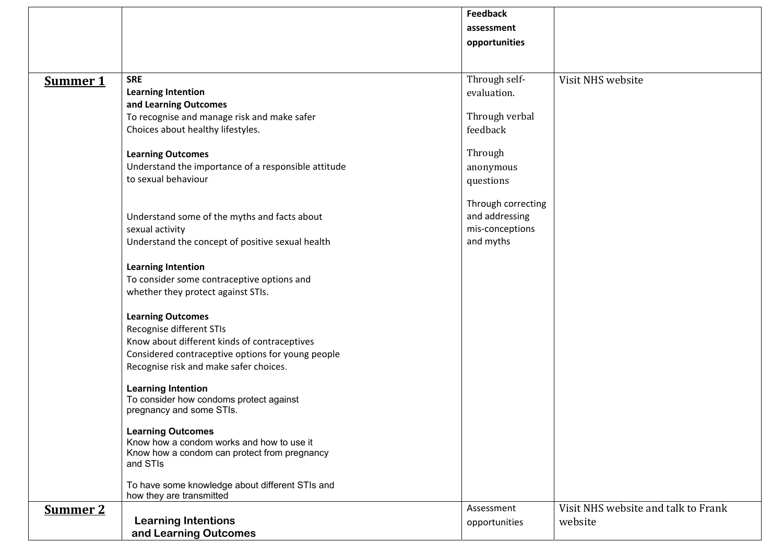|                 |                                                                             | <b>Feedback</b>    |                                     |
|-----------------|-----------------------------------------------------------------------------|--------------------|-------------------------------------|
|                 |                                                                             |                    |                                     |
|                 |                                                                             | assessment         |                                     |
|                 |                                                                             | opportunities      |                                     |
|                 |                                                                             |                    |                                     |
| <b>Summer 1</b> | <b>SRE</b>                                                                  | Through self-      | Visit NHS website                   |
|                 | <b>Learning Intention</b>                                                   | evaluation.        |                                     |
|                 | and Learning Outcomes                                                       |                    |                                     |
|                 | To recognise and manage risk and make safer                                 | Through verbal     |                                     |
|                 | Choices about healthy lifestyles.                                           | feedback           |                                     |
|                 |                                                                             |                    |                                     |
|                 | <b>Learning Outcomes</b>                                                    | Through            |                                     |
|                 | Understand the importance of a responsible attitude                         | anonymous          |                                     |
|                 | to sexual behaviour                                                         | questions          |                                     |
|                 |                                                                             |                    |                                     |
|                 |                                                                             | Through correcting |                                     |
|                 | Understand some of the myths and facts about                                | and addressing     |                                     |
|                 | sexual activity                                                             | mis-conceptions    |                                     |
|                 | Understand the concept of positive sexual health                            | and myths          |                                     |
|                 |                                                                             |                    |                                     |
|                 | <b>Learning Intention</b>                                                   |                    |                                     |
|                 | To consider some contraceptive options and                                  |                    |                                     |
|                 | whether they protect against STIs.                                          |                    |                                     |
|                 |                                                                             |                    |                                     |
|                 | <b>Learning Outcomes</b>                                                    |                    |                                     |
|                 | Recognise different STIs                                                    |                    |                                     |
|                 | Know about different kinds of contraceptives                                |                    |                                     |
|                 | Considered contraceptive options for young people                           |                    |                                     |
|                 | Recognise risk and make safer choices.                                      |                    |                                     |
|                 |                                                                             |                    |                                     |
|                 | <b>Learning Intention</b>                                                   |                    |                                     |
|                 | To consider how condoms protect against                                     |                    |                                     |
|                 | pregnancy and some STIs.                                                    |                    |                                     |
|                 | <b>Learning Outcomes</b>                                                    |                    |                                     |
|                 | Know how a condom works and how to use it                                   |                    |                                     |
|                 | Know how a condom can protect from pregnancy                                |                    |                                     |
|                 | and STIs                                                                    |                    |                                     |
|                 |                                                                             |                    |                                     |
|                 | To have some knowledge about different STIs and<br>how they are transmitted |                    |                                     |
| <b>Summer 2</b> |                                                                             | Assessment         | Visit NHS website and talk to Frank |
|                 | <b>Learning Intentions</b>                                                  | opportunities      | website                             |
|                 | and Learning Outcomes                                                       |                    |                                     |
|                 |                                                                             |                    |                                     |